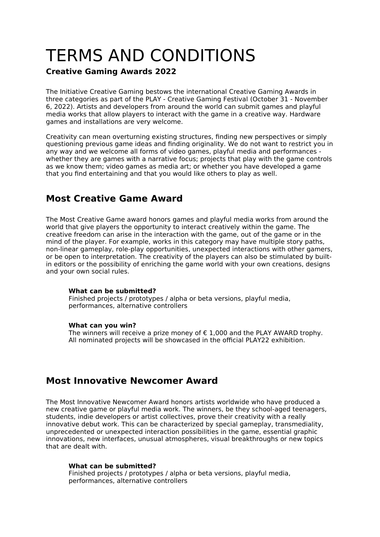# TERMS AND CONDITIONS

## **Creative Gaming Awards 2022**

The Initiative Creative Gaming bestows the international Creative Gaming Awards in three categories as part of the PLAY - Creative Gaming Festival (October 31 - November 6, 2022). Artists and developers from around the world can submit games and playful media works that allow players to interact with the game in a creative way. Hardware games and installations are very welcome.

Creativity can mean overturning existing structures, finding new perspectives or simply questioning previous game ideas and finding originality. We do not want to restrict you in any way and we welcome all forms of video games, playful media and performances whether they are games with a narrative focus; projects that play with the game controls as we know them; video games as media art; or whether you have developed a game that you find entertaining and that you would like others to play as well.

# **Most Creative Game Award**

The Most Creative Game award honors games and playful media works from around the world that give players the opportunity to interact creatively within the game. The creative freedom can arise in the interaction with the game, out of the game or in the mind of the player. For example, works in this category may have multiple story paths, non-linear gameplay, role-play opportunities, unexpected interactions with other gamers, or be open to interpretation. The creativity of the players can also be stimulated by builtin editors or the possibility of enriching the game world with your own creations, designs and your own social rules.

## **What can be submitted?**

Finished projects / prototypes / alpha or beta versions, playful media, performances, alternative controllers

## **What can you win?**

The winners will receive a prize money of  $\epsilon$  1,000 and the PLAY AWARD trophy. All nominated projects will be showcased in the official PLAY22 exhibition.

# **Most Innovative Newcomer Award**

The Most Innovative Newcomer Award honors artists worldwide who have produced a new creative game or playful media work. The winners, be they school-aged teenagers, students, indie developers or artist collectives, prove their creativity with a really innovative debut work. This can be characterized by special gameplay, transmediality, unprecedented or unexpected interaction possibilities in the game, essential graphic innovations, new interfaces, unusual atmospheres, visual breakthroughs or new topics that are dealt with.

## **What can be submitted?**

Finished projects / prototypes / alpha or beta versions, playful media, performances, alternative controllers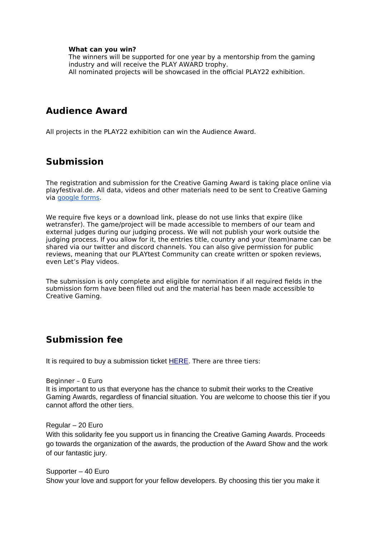### **What can you win?**

The winners will be supported for one year by a mentorship from the gaming industry and will receive the PLAY AWARD trophy. All nominated projects will be showcased in the official PLAY22 exhibition.

## **Audience Award**

All projects in the PLAY22 exhibition can win the Audience Award.

# **Submission**

The registration and submission for the Creative Gaming Award is taking place online via playfestival.de. All data, videos and other materials need to be sent to Creative Gaming via [google forms.](https://forms.gle/QUUf85NyruGouZxQ6)

We require five keys or a download link, please do not use links that expire (like wetransfer). The game/project will be made accessible to members of our team and external judges during our judging process. We will not publish your work outside the judging process. If you allow for it, the entries title, country and your (team)name can be shared via our twitter and discord channels. You can also give permission for public reviews, meaning that our PLAYtest Community can create written or spoken reviews, even Let's Play videos.

The submission is only complete and eligible for nomination if all required fields in the submission form have been filled out and the material has been made accessible to Creative Gaming.

## **Submission fee**

It is required to buy a submission ticket [HERE](https://www.eventbrite.com/e/creative-gaming-awards-submission-tickets-350319333557). There are three tiers:

## Beginner – 0 Euro

It is important to us that everyone has the chance to submit their works to the Creative Gaming Awards, regardless of financial situation. You are welcome to choose this tier if you cannot afford the other tiers.

#### Regular – 20 Euro

With this solidarity fee you support us in financing the Creative Gaming Awards. Proceeds go towards the organization of the awards, the production of the Award Show and the work of our fantastic jury.

Supporter – 40 Euro Show your love and support for your fellow developers. By choosing this tier you make it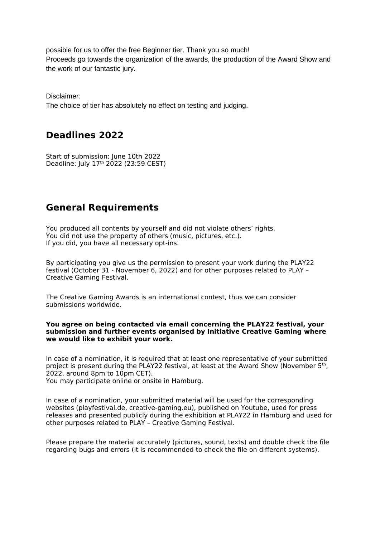possible for us to offer the free Beginner tier. Thank you so much! Proceeds go towards the organization of the awards, the production of the Award Show and the work of our fantastic jury.

Disclaimer: The choice of tier has absolutely no effect on testing and judging.

## **Deadlines 2022**

Start of submission: June 10th 2022 Deadline: July 17<sup>th</sup> 2022 (23:59 CEST)

# **General Requirements**

You produced all contents by yourself and did not violate others' rights. You did not use the property of others (music, pictures, etc.). If you did, you have all necessary opt-ins.

By participating you give us the permission to present your work during the PLAY22 festival (October 31 - November 6, 2022) and for other purposes related to PLAY – Creative Gaming Festival.

The Creative Gaming Awards is an international contest, thus we can consider submissions worldwide.

#### **You agree on being contacted via email concerning the PLAY22 festival, your submission and further events organised by Initiative Creative Gaming where we would like to exhibit your work.**

In case of a nomination, it is required that at least one representative of your submitted project is present during the PLAY22 festival, at least at the Award Show (November 5<sup>th</sup>, 2022, around 8pm to 10pm CET). You may participate online or onsite in Hamburg.

In case of a nomination, your submitted material will be used for the corresponding websites (playfestival.de, creative-gaming.eu), published on Youtube, used for press releases and presented publicly during the exhibition at PLAY22 in Hamburg and used for other purposes related to PLAY – Creative Gaming Festival.

Please prepare the material accurately (pictures, sound, texts) and double check the file regarding bugs and errors (it is recommended to check the file on different systems).